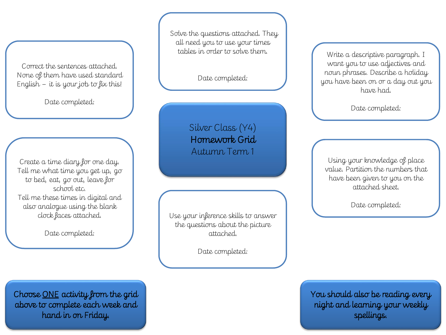Correct the sentences attached. None of them have used standard English – it is your job to fix this!

Date completed:

Create a time diary for one day. Tell me what time you get up, go to bed, eat, go out, leave for school etc. Tell me these times in digital and also analogue using the blank clock faces attached.

Date completed:

Solve the questions attached. They all need you to use your times tables in order to solve them.

Date completed:

Silver Class (Y4) Homework Grid Autumn Term 1

Use your inference skills to answer the questions about the picture attached.

Date completed:

Write a descriptive paragraph. I want you to use adjectives and noun phrases. Describe a holiday you have been on or a day out you have had.

Date completed:

Using your knowledge of place value. Partition the numbers that have been given to you on the attached sheet.

Date completed:

You should also be reading every night and learning your weekly spellings.

Choose ONE activity from the grid above to complete each week and hand in on Friday.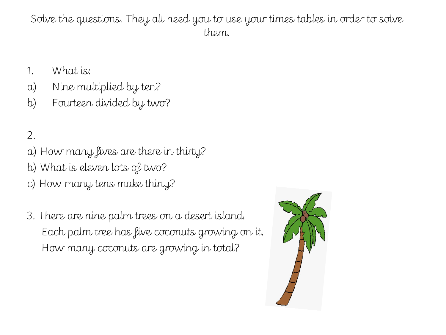Solve the questions. They all need you to use your times tables in order to solve them.

- 1. What is:
- a) Nine multiplied by ten?
- b) Fourteen divided by two?

## 2.

- a) How many fives are there in thirty?
- b) What is eleven lots of two?
- c) How many tens make thirty?
- 3. There are nine palm trees on a desert island. Each palm tree has five coconuts growing on it. How many coconuts are growing in total?

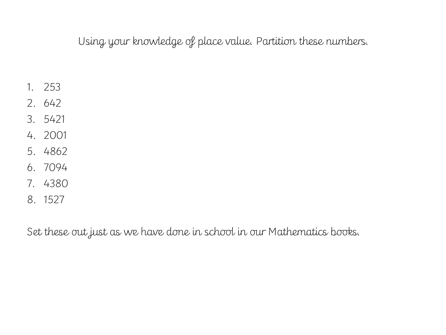Using your knowledge of place value. Partition these numbers.

- 1. 253
- 2. 642
- 3. 5421
- 4. 2001
- 5. 4862
- 6. 7094
- 7. 4380
- 8. 1527

Set these out just as we have done in school in our Mathematics books.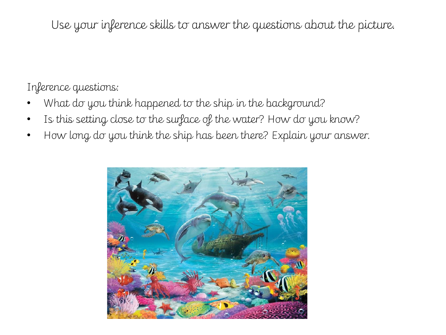Use your inference skills to answer the questions about the picture.

Inference questions:

- What do you think happened to the ship in the background?
- Is this setting close to the surface of the water? How do you know?
- How long do you think the ship has been there? Explain your answer.

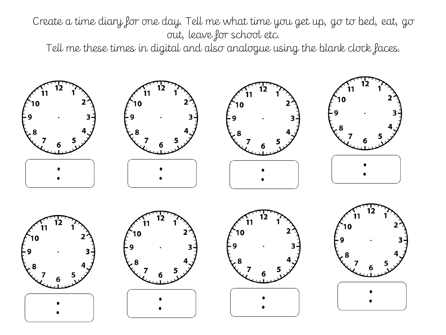Create a time diary for one day. Tell me what time you get up, go to bed, eat, go out, leave for school etc.

Tell me these times in digital and also analogue using the blank clock faces.